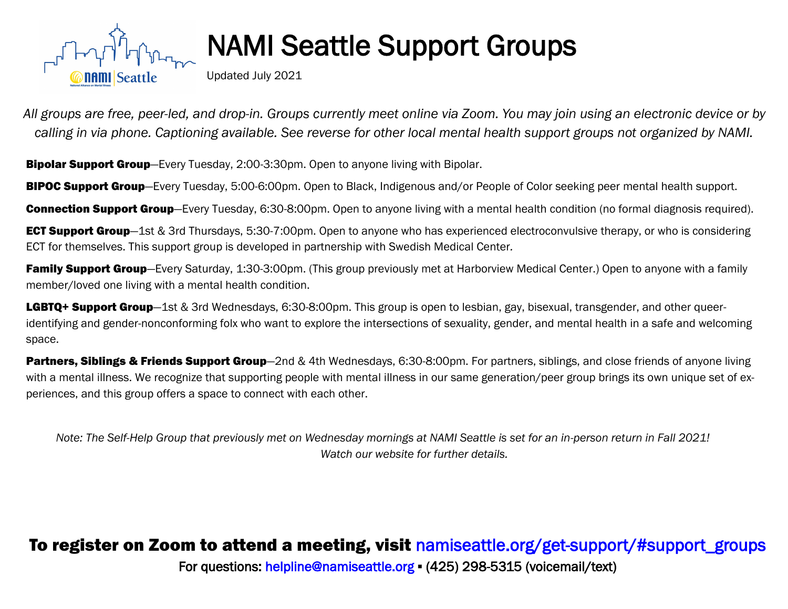

## **NAMI Seattle Support Groups**

Updated July 2021

*All groups are free, peer-led, and drop-in. Groups currently meet online via Zoom. You may join using an electronic device or by calling in via phone. Captioning available. See reverse for other local mental health support groups not organized by NAMI.*

**Bipolar Support Group**—Every Tuesday, 2:00-3:30pm. Open to anyone living with Bipolar.

**BIPOC Support Group**—Every Tuesday, 5:00-6:00pm. Open to Black, Indigenous and/or People of Color seeking peer mental health support.

**Connection Support Group**—Every Tuesday, 6:30-8:00pm. Open to anyone living with a mental health condition (no formal diagnosis required).

**ECT Support Group**—1st & 3rd Thursdays, 5:30-7:00pm. Open to anyone who has experienced electroconvulsive therapy, or who is considering ECT for themselves. This support group is developed in partnership with Swedish Medical Center*.* 

**Family Support Group**—Every Saturday, 1:30-3:00pm. (This group previously met at Harborview Medical Center.) Open to anyone with a family member/loved one living with a mental health condition.

LGBTQ+ Support Group—1st & 3rd Wednesdays, 6:30-8:00pm. This group is open to lesbian, gay, bisexual, transgender, and other queeridentifying and gender-nonconforming folx who want to explore the intersections of sexuality, gender, and mental health in a safe and welcoming space.

**Partners, Siblings & Friends Support Group**—2nd & 4th Wednesdays, 6:30-8:00pm. For partners, siblings, and close friends of anyone living with a mental illness. We recognize that supporting people with mental illness in our same generation/peer group brings its own unique set of experiences, and this group offers a space to connect with each other.

*Note: The Self-Help Group that previously met on Wednesday mornings at NAMI Seattle is set for an in-person return in Fall 2021! Watch our website for further details.*

## To register on Zoom to attend a meeting, visit [namiseattle.org/get-support/#support\\_groups](http://namiseattle.org/get-support/#support_groups) For questions: [helpline@namiseattle.org](mailto:info@namiseattle.org) ▪ (425) 298-5315 (voicemail/text)